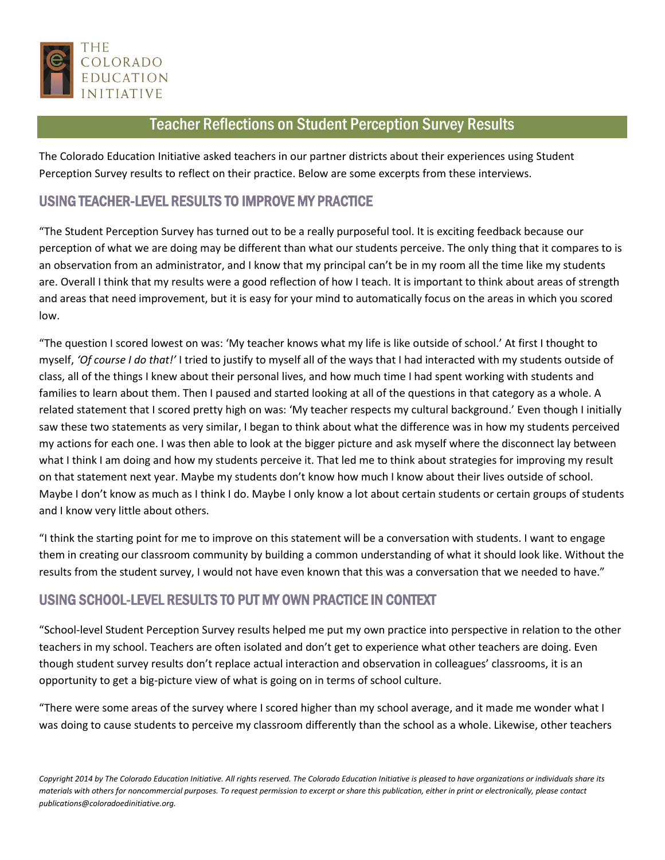

## Teacher Reflections on Student Perception Survey Results

The Colorado Education Initiative asked teachers in our partner districts about their experiences using Student Perception Survey results to reflect on their practice. Below are some excerpts from these interviews.

## USING TEACHER-LEVEL RESULTS TO IMPROVE MY PRACTICE

"The Student Perception Survey has turned out to be a really purposeful tool. It is exciting feedback because our perception of what we are doing may be different than what our students perceive. The only thing that it compares to is an observation from an administrator, and I know that my principal can't be in my room all the time like my students are. Overall I think that my results were a good reflection of how I teach. It is important to think about areas of strength and areas that need improvement, but it is easy for your mind to automatically focus on the areas in which you scored low.

"The question I scored lowest on was: 'My teacher knows what my life is like outside of school.' At first I thought to myself, *'Of course I do that!'* I tried to justify to myself all of the ways that I had interacted with my students outside of class, all of the things I knew about their personal lives, and how much time I had spent working with students and families to learn about them. Then I paused and started looking at all of the questions in that category as a whole. A related statement that I scored pretty high on was: 'My teacher respects my cultural background.' Even though I initially saw these two statements as very similar, I began to think about what the difference was in how my students perceived my actions for each one. I was then able to look at the bigger picture and ask myself where the disconnect lay between what I think I am doing and how my students perceive it. That led me to think about strategies for improving my result on that statement next year. Maybe my students don't know how much I know about their lives outside of school. Maybe I don't know as much as I think I do. Maybe I only know a lot about certain students or certain groups of students and I know very little about others.

"I think the starting point for me to improve on this statement will be a conversation with students. I want to engage them in creating our classroom community by building a common understanding of what it should look like. Without the results from the student survey, I would not have even known that this was a conversation that we needed to have."

## USING SCHOOL-LEVEL RESULTS TO PUT MY OWN PRACTICE IN CONTEXT

"School-level Student Perception Survey results helped me put my own practice into perspective in relation to the other teachers in my school. Teachers are often isolated and don't get to experience what other teachers are doing. Even though student survey results don't replace actual interaction and observation in colleagues' classrooms, it is an opportunity to get a big-picture view of what is going on in terms of school culture.

"There were some areas of the survey where I scored higher than my school average, and it made me wonder what I was doing to cause students to perceive my classroom differently than the school as a whole. Likewise, other teachers

*Copyright 2014 by The Colorado Education Initiative. All rights reserved. The Colorado Education Initiative is pleased to have organizations or individuals share its materials with others for noncommercial purposes. To request permission to excerpt or share this publication, either in print or electronically, please contact publications@coloradoedinitiative.org.*